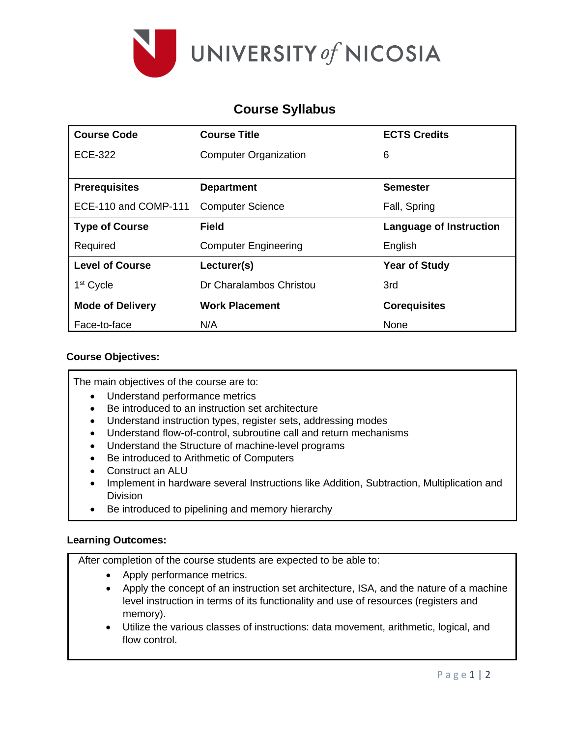

# **Course Syllabus**

| <b>Course Code</b>      | <b>Course Title</b>          | <b>ECTS Credits</b>     |  |
|-------------------------|------------------------------|-------------------------|--|
| <b>ECE-322</b>          | <b>Computer Organization</b> | 6                       |  |
|                         |                              |                         |  |
| <b>Prerequisites</b>    | <b>Department</b>            | <b>Semester</b>         |  |
| ECE-110 and COMP-111    | <b>Computer Science</b>      | Fall, Spring            |  |
| <b>Type of Course</b>   | <b>Field</b>                 | Language of Instruction |  |
| Required                | <b>Computer Engineering</b>  | English                 |  |
| <b>Level of Course</b>  | Lecturer(s)                  | <b>Year of Study</b>    |  |
| 1 <sup>st</sup> Cycle   | Dr Charalambos Christou      | 3rd                     |  |
| <b>Mode of Delivery</b> | <b>Work Placement</b>        | <b>Corequisites</b>     |  |
| Face-to-face            | N/A                          | None                    |  |

# **Course Objectives:**

The main objectives of the course are to:

- Understand performance metrics
- Be introduced to an instruction set architecture
- Understand instruction types, register sets, addressing modes
- Understand flow-of-control, subroutine call and return mechanisms
- Understand the Structure of machine-level programs
- Be introduced to Arithmetic of Computers
- Construct an ALU
- Implement in hardware several Instructions like Addition, Subtraction, Multiplication and Division
- Be introduced to pipelining and memory hierarchy

### **Learning Outcomes:**

After completion of the course students are expected to be able to:

- Apply performance metrics.
- Apply the concept of an instruction set architecture, ISA, and the nature of a machine level instruction in terms of its functionality and use of resources (registers and memory).
- Utilize the various classes of instructions: data movement, arithmetic, logical, and flow control.